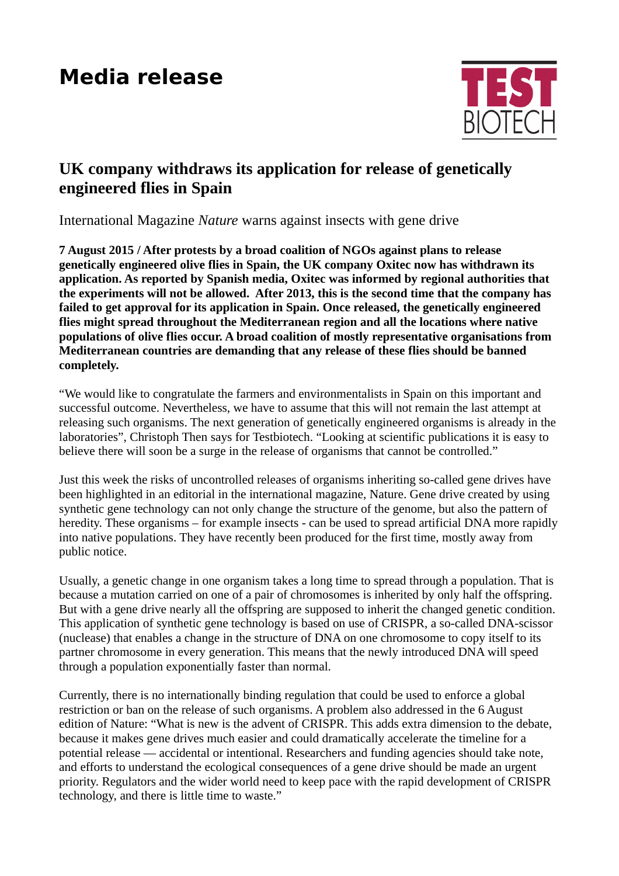## **Media release**



## **UK company withdraws its application for release of genetically engineered flies in Spain**

International Magazine *Nature* warns against insects with gene drive

**7 August 2015 / After protests by a broad coalition of NGOs against plans to release genetically engineered olive flies in Spain, the UK company Oxitec now has withdrawn its application. As reported by Spanish media, Oxitec was informed by regional authorities that the experiments will not be allowed. After 2013, this is the second time that the company has failed to get approval for its application in Spain. Once released, the genetically engineered flies might spread throughout the Mediterranean region and all the locations where native populations of olive flies occur. A broad coalition of mostly representative organisations from Mediterranean countries are demanding that any release of these flies should be banned completely.** 

"We would like to congratulate the farmers and environmentalists in Spain on this important and successful outcome. Nevertheless, we have to assume that this will not remain the last attempt at releasing such organisms. The next generation of genetically engineered organisms is already in the laboratories", Christoph Then says for Testbiotech. "Looking at scientific publications it is easy to believe there will soon be a surge in the release of organisms that cannot be controlled."

Just this week the risks of uncontrolled releases of organisms inheriting so-called gene drives have been highlighted in an editorial in the international magazine, Nature. Gene drive created by using synthetic gene technology can not only change the structure of the genome, but also the pattern of heredity. These organisms – for example insects - can be used to spread artificial DNA more rapidly into native populations. They have recently been produced for the first time, mostly away from public notice.

Usually, a genetic change in one organism takes a long time to spread through a population. That is because a mutation carried on one of a pair of chromosomes is inherited by only half the offspring. But with a gene drive nearly all the offspring are supposed to inherit the changed genetic condition. This application of synthetic gene technology is based on use of CRISPR, a so-called DNA-scissor (nuclease) that enables a change in the structure of DNA on one chromosome to copy itself to its partner chromosome in every generation. This means that the newly introduced DNA will speed through a population exponentially faster than normal.

Currently, there is no internationally binding regulation that could be used to enforce a global restriction or ban on the release of such organisms. A problem also addressed in the 6 August edition of Nature: "What is new is the advent of CRISPR. This adds extra dimension to the debate, because it makes gene drives much easier and could dramatically accelerate the timeline for a potential release — accidental or intentional. Researchers and funding agencies should take note, and efforts to understand the ecological consequences of a gene drive should be made an urgent priority. Regulators and the wider world need to keep pace with the rapid development of CRISPR technology, and there is little time to waste."